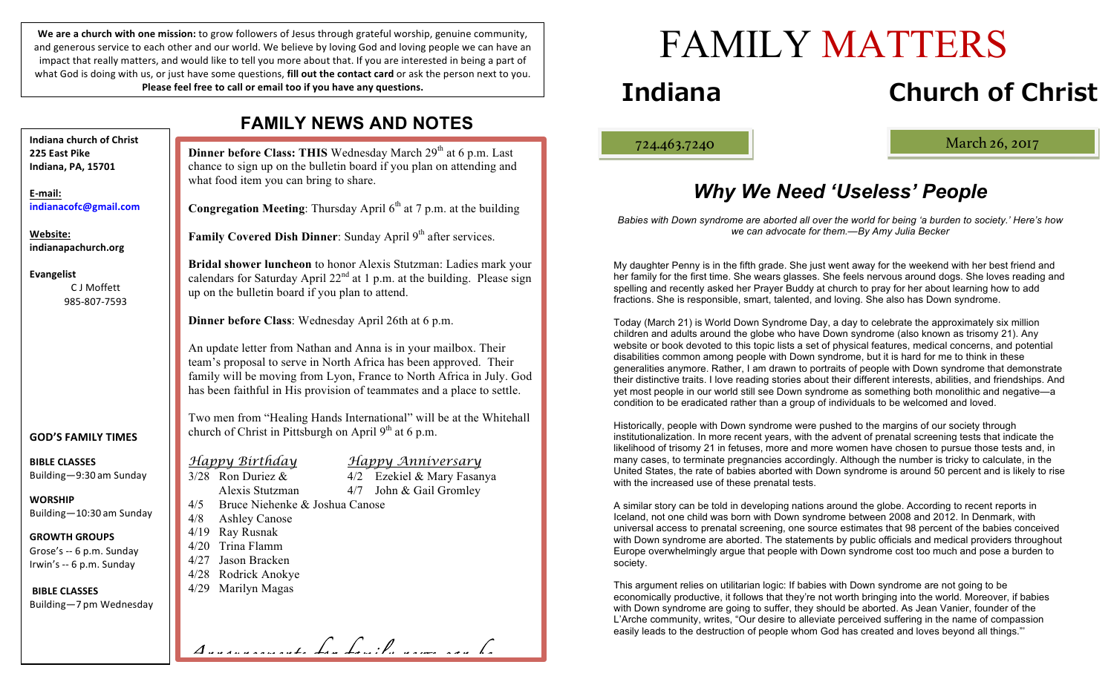We are a church with one mission: to grow followers of Jesus through grateful worship, genuine community, and generous service to each other and our world. We believe by loving God and loving people we can have an impact that really matters, and would like to tell you more about that. If you are interested in being a part of what God is doing with us, or just have some questions, **fill out the contact card** or ask the person next to you. **Please feel free to call or email too if you have any questions.** 

**Dinner before Class: THIS** Wednesday March 29<sup>th</sup> at 6 p.m. Last what food item you can bring to share. up on the bulletin board if you plan to attend. *Happy Birthday Happy Anniversary*  $3/28$  Ron Duriez &  $4/2$  Ezekiel & Mary Fasanya Alexis Stutzman 4/7 John & Gail Gromley 4/5 Bruce Niehenke & Joshua Canose 4/8 Ashley Canose 4/19 Ray Rusnak 4/20 Trina Flamm 4/27 Jason Bracken 4/28 Rodrick Anokye 4/29 Marilyn Magas **Indiana church of Christ 225 East Pike Indiana, PA, 15701 E-mail: indianacofc@gmail.com Website: indianapachurch.org Evangelist** C J Moffett 985-807-7593 **GOD'S FAMILY TIMES BIBLE CLASSES** Building—9:30 am Sunday **WORSHIP** Building—10:30 am Sunday **GROWTH GROUPS** Grose's -- 6 p.m. Sunday Irwin's -- 6 p.m. Sunday **BIBLE CLASSES** Building—7 pm Wednesday

### **FAMILY NEWS AND NOTES**

chance to sign up on the bulletin board if you plan on attending and **Congregation Meeting**: Thursday April 6<sup>th</sup> at 7 p.m. at the building **Family Covered Dish Dinner**: Sunday April 9<sup>th</sup> after services. **Bridal shower luncheon** to honor Alexis Stutzman: Ladies mark your calendars for Saturday April  $22<sup>nd</sup>$  at 1 p.m. at the building. Please sign

**Dinner before Class**: Wednesday April 26th at 6 p.m.

An update letter from Nathan and Anna is in your mailbox. Their team's proposal to serve in North Africa has been approved. Their family will be moving from Lyon, France to North Africa in July. God has been faithful in His provision of teammates and a place to settle.

Two men from "Healing Hands International" will be at the Whitehall church of Christ in Pittsburgh on April  $9<sup>th</sup>$  at 6 p.m.

*Announcements for family news can be* 

- 
- 

FAMILY MATTERS

# **Indiana Church of Christ**

ļ

724.463.7240 March 26, 2017

# *Why We Need 'Useless' People*

*Babies with Down syndrome are aborted all over the world for being 'a burden to society.' Here's how we can advocate for them.—By Amy Julia Becker*

My daughter Penny is in the fifth grade. She just went away for the weekend with her best friend and her family for the first time. She wears glasses. She feels nervous around dogs. She loves reading and spelling and recently asked her Prayer Buddy at church to pray for her about learning how to add fractions. She is responsible, smart, talented, and loving. She also has Down syndrome.

Today (March 21) is World Down Syndrome Day, a day to celebrate the approximately six million children and adults around the globe who have Down syndrome (also known as trisomy 21). Any website or book devoted to this topic lists a set of physical features, medical concerns, and potential disabilities common among people with Down syndrome, but it is hard for me to think in these generalities anymore. Rather, I am drawn to portraits of people with Down syndrome that demonstrate their distinctive traits. I love reading stories about their different interests, abilities, and friendships. And yet most people in our world still see Down syndrome as something both monolithic and negative—a condition to be eradicated rather than a group of individuals to be welcomed and loved.

Historically, people with Down syndrome were pushed to the margins of our society through institutionalization. In more recent years, with the advent of prenatal screening tests that indicate the likelihood of trisomy 21 in fetuses, more and more women have chosen to pursue those tests and, in many cases, to terminate pregnancies accordingly. Although the number is tricky to calculate, in the United States, the rate of babies aborted with Down syndrome is around 50 percent and is likely to rise with the increased use of these prenatal tests.

A similar story can be told in developing nations around the globe. According to recent reports in Iceland, not one child was born with Down syndrome between 2008 and 2012. In Denmark, with universal access to prenatal screening, one source estimates that 98 percent of the babies conceived with Down syndrome are aborted. The statements by public officials and medical providers throughout Europe overwhelmingly argue that people with Down syndrome cost too much and pose a burden to society.

This argument relies on utilitarian logic: If babies with Down syndrome are not going to be economically productive, it follows that they're not worth bringing into the world. Moreover, if babies with Down syndrome are going to suffer, they should be aborted. As Jean Vanier, founder of the L'Arche community, writes, "Our desire to alleviate perceived suffering in the name of compassion easily leads to the destruction of people whom God has created and loves beyond all things."'